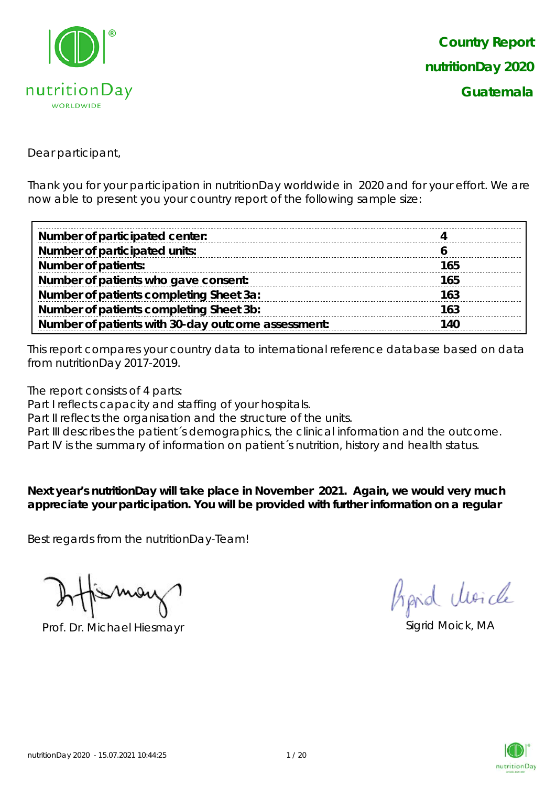

Dear participant,

Thank you for your participation in nutritionDay worldwide in 2020 and for your effort. We are now able to present you your country report of the following sample size:

| Number of participated center:                     |     |
|----------------------------------------------------|-----|
| Number of participated units:                      |     |
| <b>Number of patients:</b>                         | 165 |
| Number of patients who gave consent:               | 165 |
| Number of patients completing Sheet 3a:            | 163 |
| Number of patients completing Sheet 3b:            | 163 |
| Number of patients with 30-day outcome assessment: | 140 |

This report compares your country data to international reference database based on data from nutritionDay 2017-2019.

The report consists of 4 parts:

Part I reflects capacity and staffing of your hospitals.

Part II reflects the organisation and the structure of the units.

Part III describes the patient's demographics, the clinical information and the outcome.

Part IV is the summary of information on patient´s nutrition, history and health status.

**Next year's nutritionDay will take place in November 2021. Again, we would very much appreciate your participation. You will be provided with further information on a regular** 

Best regards from the nutritionDay-Team!

Prof. Dr. Michael Hiesmayr Sigrid Moick, MA

hand clearcle

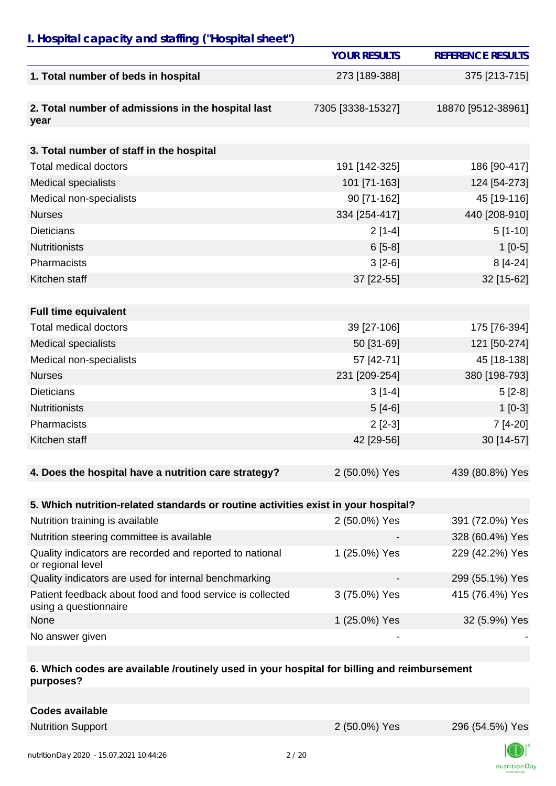## *I. Hospital capacity and staffing ("Hospital sheet")*

|                                                                                    | <b>YOUR RESULTS</b> | <b>REFERENCE RESULTS</b> |
|------------------------------------------------------------------------------------|---------------------|--------------------------|
| 1. Total number of beds in hospital                                                | 273 [189-388]       | 375 [213-715]            |
|                                                                                    |                     |                          |
| 2. Total number of admissions in the hospital last<br>year                         | 7305 [3338-15327]   | 18870 [9512-38961]       |
|                                                                                    |                     |                          |
| 3. Total number of staff in the hospital                                           |                     |                          |
| <b>Total medical doctors</b>                                                       | 191 [142-325]       | 186 [90-417]             |
| <b>Medical specialists</b>                                                         | 101 [71-163]        | 124 [54-273]             |
| Medical non-specialists                                                            | 90 [71-162]         | 45 [19-116]              |
| <b>Nurses</b>                                                                      | 334 [254-417]       | 440 [208-910]            |
| <b>Dieticians</b>                                                                  | $2[1-4]$            | $5[1-10]$                |
| <b>Nutritionists</b>                                                               | $6[5-8]$            | $1[0-5]$                 |
| Pharmacists                                                                        | $3[2-6]$            | $8[4-24]$                |
| Kitchen staff                                                                      | 37 [22-55]          | 32 [15-62]               |
|                                                                                    |                     |                          |
| <b>Full time equivalent</b>                                                        |                     |                          |
| <b>Total medical doctors</b>                                                       | 39 [27-106]         | 175 [76-394]             |
| <b>Medical specialists</b>                                                         | 50 [31-69]          | 121 [50-274]             |
| Medical non-specialists                                                            | 57 [42-71]          | 45 [18-138]              |
| <b>Nurses</b>                                                                      | 231 [209-254]       | 380 [198-793]            |
| <b>Dieticians</b>                                                                  | $3[1-4]$            | $5[2-8]$                 |
| <b>Nutritionists</b>                                                               | $5[4-6]$            | $1[0-3]$                 |
| Pharmacists                                                                        | $2[2-3]$            | 7 [4-20]                 |
| Kitchen staff                                                                      | 42 [29-56]          | 30 [14-57]               |
|                                                                                    |                     |                          |
| 4. Does the hospital have a nutrition care strategy?                               | 2 (50.0%) Yes       | 439 (80.8%) Yes          |
|                                                                                    |                     |                          |
| 5. Which nutrition-related standards or routine activities exist in your hospital? |                     |                          |
| Nutrition training is available                                                    | 2 (50.0%) Yes       | 391 (72.0%) Yes          |
| Nutrition steering committee is available                                          |                     | 328 (60.4%) Yes          |
| Quality indicators are recorded and reported to national<br>or regional level      | 1 (25.0%) Yes       | 229 (42.2%) Yes          |
| Quality indicators are used for internal benchmarking                              |                     | 299 (55.1%) Yes          |
| Patient feedback about food and food service is collected<br>using a questionnaire | 3 (75.0%) Yes       | 415 (76.4%) Yes          |
| None                                                                               | 1 (25.0%) Yes       | 32 (5.9%) Yes            |
| No answer given                                                                    |                     |                          |

#### **6. Which codes are available /routinely used in your hospital for billing and reimbursement purposes?**

| <b>Codes available</b> |
|------------------------|
|------------------------|

Nutrition Support 2 (50.0%) Yes 296 (54.5%) Yes



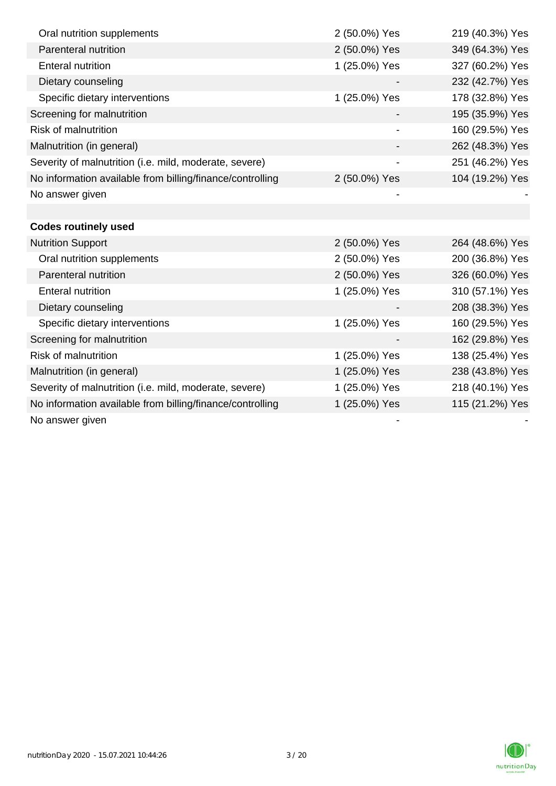| Oral nutrition supplements                                | 2 (50.0%) Yes | 219 (40.3%) Yes |
|-----------------------------------------------------------|---------------|-----------------|
| Parenteral nutrition                                      | 2 (50.0%) Yes | 349 (64.3%) Yes |
| <b>Enteral nutrition</b>                                  | 1 (25.0%) Yes | 327 (60.2%) Yes |
| Dietary counseling                                        |               | 232 (42.7%) Yes |
| Specific dietary interventions                            | 1 (25.0%) Yes | 178 (32.8%) Yes |
| Screening for malnutrition                                |               | 195 (35.9%) Yes |
| <b>Risk of malnutrition</b>                               |               | 160 (29.5%) Yes |
| Malnutrition (in general)                                 |               | 262 (48.3%) Yes |
| Severity of malnutrition (i.e. mild, moderate, severe)    |               | 251 (46.2%) Yes |
| No information available from billing/finance/controlling | 2 (50.0%) Yes | 104 (19.2%) Yes |
| No answer given                                           |               |                 |
|                                                           |               |                 |
| <b>Codes routinely used</b>                               |               |                 |
| <b>Nutrition Support</b>                                  | 2 (50.0%) Yes | 264 (48.6%) Yes |
| Oral nutrition supplements                                | 2 (50.0%) Yes | 200 (36.8%) Yes |
| Parenteral nutrition                                      | 2 (50.0%) Yes | 326 (60.0%) Yes |
| <b>Enteral nutrition</b>                                  | 1 (25.0%) Yes | 310 (57.1%) Yes |
| Dietary counseling                                        |               | 208 (38.3%) Yes |
| Specific dietary interventions                            | 1 (25.0%) Yes | 160 (29.5%) Yes |
| Screening for malnutrition                                |               | 162 (29.8%) Yes |
| <b>Risk of malnutrition</b>                               | 1 (25.0%) Yes | 138 (25.4%) Yes |
| Malnutrition (in general)                                 | 1 (25.0%) Yes | 238 (43.8%) Yes |
| Severity of malnutrition (i.e. mild, moderate, severe)    | 1 (25.0%) Yes | 218 (40.1%) Yes |
| No information available from billing/finance/controlling | 1 (25.0%) Yes | 115 (21.2%) Yes |
| No answer given                                           |               |                 |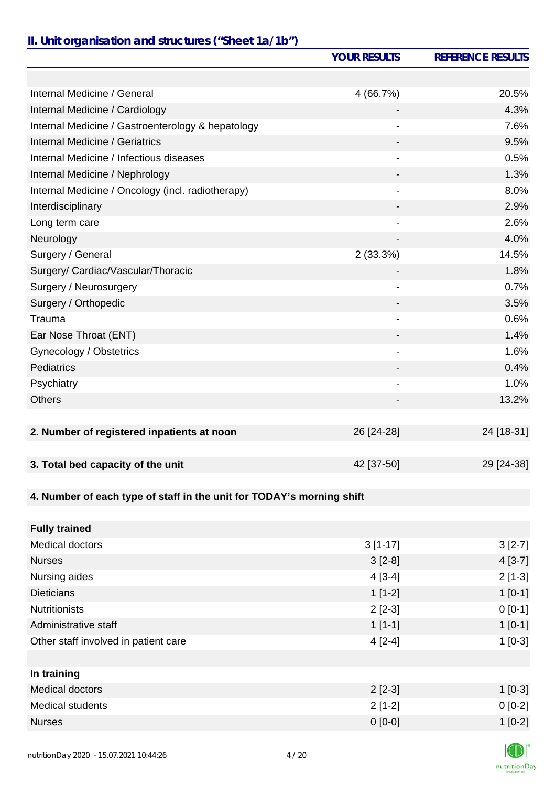## *II. Unit organisation and structures ("Sheet 1a/1b")*

|                                                                       | <b>YOUR RESULTS</b> | <b>REFERENCE RESULTS</b> |
|-----------------------------------------------------------------------|---------------------|--------------------------|
|                                                                       |                     |                          |
| Internal Medicine / General                                           | 4(66.7%)            | 20.5%                    |
| Internal Medicine / Cardiology                                        |                     | 4.3%                     |
| Internal Medicine / Gastroenterology & hepatology                     | $\blacksquare$      | 7.6%                     |
| <b>Internal Medicine / Geriatrics</b>                                 |                     | 9.5%                     |
| Internal Medicine / Infectious diseases                               |                     | 0.5%                     |
| Internal Medicine / Nephrology                                        |                     | 1.3%                     |
| Internal Medicine / Oncology (incl. radiotherapy)                     |                     | 8.0%                     |
| Interdisciplinary                                                     |                     | 2.9%                     |
| Long term care                                                        |                     | 2.6%                     |
| Neurology                                                             |                     | 4.0%                     |
| Surgery / General                                                     | 2(33.3%)            | 14.5%                    |
| Surgery/ Cardiac/Vascular/Thoracic                                    |                     | 1.8%                     |
| Surgery / Neurosurgery                                                | $\overline{a}$      | 0.7%                     |
| Surgery / Orthopedic                                                  |                     | 3.5%                     |
| Trauma                                                                |                     | 0.6%                     |
| Ear Nose Throat (ENT)                                                 |                     | 1.4%                     |
| Gynecology / Obstetrics                                               |                     | 1.6%                     |
| Pediatrics                                                            |                     | 0.4%                     |
| Psychiatry                                                            | -                   | 1.0%                     |
| <b>Others</b>                                                         |                     | 13.2%                    |
|                                                                       |                     |                          |
| 2. Number of registered inpatients at noon                            | 26 [24-28]          | 24 [18-31]               |
|                                                                       |                     |                          |
| 3. Total bed capacity of the unit                                     | 42 [37-50]          | 29 [24-38]               |
|                                                                       |                     |                          |
| 4. Number of each type of staff in the unit for TODAY's morning shift |                     |                          |
|                                                                       |                     |                          |
| <b>Fully trained</b>                                                  |                     |                          |
| <b>Medical doctors</b>                                                | $3[1-17]$           | $3[2-7]$                 |
| <b>Nurses</b>                                                         | $3[2-8]$            | $4[3-7]$                 |
| Nursing aides                                                         | $4[3-4]$            | $2[1-3]$                 |
| <b>Dieticians</b>                                                     | $1[1-2]$            | $1[0-1]$                 |
| <b>Nutritionists</b>                                                  | $2[2-3]$            | $0 [0-1]$                |
| Administrative staff                                                  | $1[1-1]$            | $1[0-1]$                 |
| Other staff involved in patient care                                  | $4[2-4]$            | $1[0-3]$                 |
|                                                                       |                     |                          |
| In training                                                           |                     |                          |
| <b>Medical doctors</b>                                                | $2[2-3]$            | $1[0-3]$                 |
| <b>Medical students</b>                                               | $2[1-2]$            | $0[0-2]$                 |
| <b>Nurses</b>                                                         | $0 [0-0]$           | $1[0-2]$                 |
|                                                                       |                     |                          |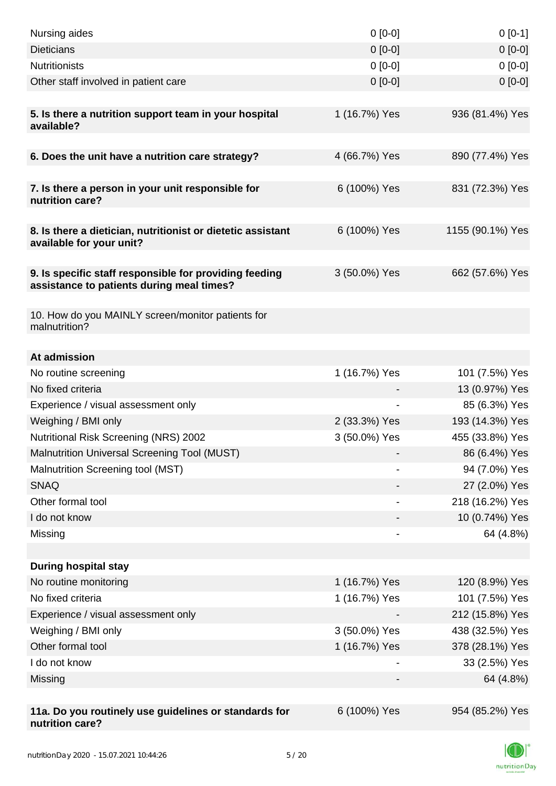| Nursing aides                                                                                       | $0 [0-0]$     | $0[0-1]$         |
|-----------------------------------------------------------------------------------------------------|---------------|------------------|
| <b>Dieticians</b>                                                                                   | $0 [0-0]$     | $0 [0-0]$        |
| <b>Nutritionists</b>                                                                                | $0 [0-0]$     | $0[0-0]$         |
| Other staff involved in patient care                                                                | $0$ [0-0]     | $0 [0-0]$        |
|                                                                                                     |               |                  |
| 5. Is there a nutrition support team in your hospital<br>available?                                 | 1 (16.7%) Yes | 936 (81.4%) Yes  |
| 6. Does the unit have a nutrition care strategy?                                                    | 4 (66.7%) Yes | 890 (77.4%) Yes  |
| 7. Is there a person in your unit responsible for                                                   | 6 (100%) Yes  | 831 (72.3%) Yes  |
| nutrition care?                                                                                     |               |                  |
| 8. Is there a dietician, nutritionist or dietetic assistant<br>available for your unit?             | 6 (100%) Yes  | 1155 (90.1%) Yes |
| 9. Is specific staff responsible for providing feeding<br>assistance to patients during meal times? | 3 (50.0%) Yes | 662 (57.6%) Yes  |
| 10. How do you MAINLY screen/monitor patients for<br>malnutrition?                                  |               |                  |
| At admission                                                                                        |               |                  |
| No routine screening                                                                                | 1 (16.7%) Yes | 101 (7.5%) Yes   |
| No fixed criteria                                                                                   |               | 13 (0.97%) Yes   |
| Experience / visual assessment only                                                                 |               | 85 (6.3%) Yes    |
| Weighing / BMI only                                                                                 | 2 (33.3%) Yes | 193 (14.3%) Yes  |
| <b>Nutritional Risk Screening (NRS) 2002</b>                                                        | 3 (50.0%) Yes | 455 (33.8%) Yes  |
| <b>Malnutrition Universal Screening Tool (MUST)</b>                                                 |               | 86 (6.4%) Yes    |
| Malnutrition Screening tool (MST)                                                                   |               | 94 (7.0%) Yes    |
| <b>SNAQ</b>                                                                                         |               | 27 (2.0%) Yes    |
| Other formal tool                                                                                   |               | 218 (16.2%) Yes  |
| I do not know                                                                                       |               | 10 (0.74%) Yes   |
| Missing                                                                                             |               | 64 (4.8%)        |
|                                                                                                     |               |                  |
| <b>During hospital stay</b>                                                                         |               |                  |
| No routine monitoring                                                                               | 1 (16.7%) Yes | 120 (8.9%) Yes   |
| No fixed criteria                                                                                   | 1 (16.7%) Yes | 101 (7.5%) Yes   |
| Experience / visual assessment only                                                                 |               | 212 (15.8%) Yes  |
| Weighing / BMI only                                                                                 | 3 (50.0%) Yes | 438 (32.5%) Yes  |
| Other formal tool                                                                                   | 1 (16.7%) Yes | 378 (28.1%) Yes  |
| I do not know                                                                                       |               | 33 (2.5%) Yes    |
| Missing                                                                                             |               | 64 (4.8%)        |
|                                                                                                     |               |                  |
| 11a. Do you routinely use guidelines or standards for<br>nutrition care?                            | 6 (100%) Yes  | 954 (85.2%) Yes  |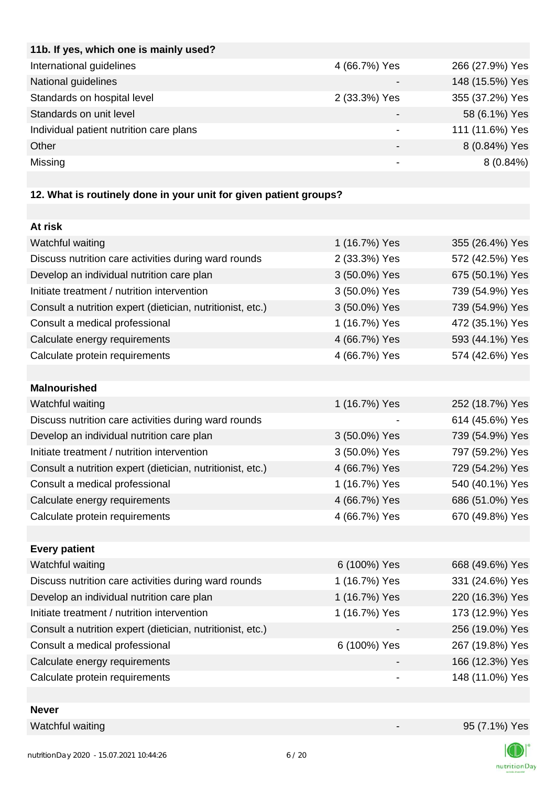| 4 (66.7%) Yes | 266 (27.9%) Yes |
|---------------|-----------------|
|               | 148 (15.5%) Yes |
| 2 (33.3%) Yes | 355 (37.2%) Yes |
|               | 58 (6.1%) Yes   |
|               | 111 (11.6%) Yes |
| -             | 8 (0.84%) Yes   |
|               | $8(0.84\%)$     |
|               |                 |

# **12. What is routinely done in your unit for given patient groups?**

| At risk                                                    |               |                 |
|------------------------------------------------------------|---------------|-----------------|
| Watchful waiting                                           | 1 (16.7%) Yes | 355 (26.4%) Yes |
| Discuss nutrition care activities during ward rounds       | 2 (33.3%) Yes | 572 (42.5%) Yes |
| Develop an individual nutrition care plan                  | 3 (50.0%) Yes | 675 (50.1%) Yes |
| Initiate treatment / nutrition intervention                | 3 (50.0%) Yes | 739 (54.9%) Yes |
| Consult a nutrition expert (dietician, nutritionist, etc.) | 3 (50.0%) Yes | 739 (54.9%) Yes |
| Consult a medical professional                             | 1 (16.7%) Yes | 472 (35.1%) Yes |
| Calculate energy requirements                              | 4 (66.7%) Yes | 593 (44.1%) Yes |
| Calculate protein requirements                             | 4 (66.7%) Yes | 574 (42.6%) Yes |
|                                                            |               |                 |
| <b>Malnourished</b>                                        |               |                 |
| Watchful waiting                                           | 1 (16.7%) Yes | 252 (18.7%) Yes |
| Discuss nutrition care activities during ward rounds       |               | 614 (45.6%) Yes |
| Develop an individual nutrition care plan                  | 3 (50.0%) Yes | 739 (54.9%) Yes |
| Initiate treatment / nutrition intervention                | 3 (50.0%) Yes | 797 (59.2%) Yes |
| Consult a nutrition expert (dietician, nutritionist, etc.) | 4 (66.7%) Yes | 729 (54.2%) Yes |
| Consult a medical professional                             | 1 (16.7%) Yes | 540 (40.1%) Yes |
| Calculate energy requirements                              | 4 (66.7%) Yes | 686 (51.0%) Yes |
| Calculate protein requirements                             | 4 (66.7%) Yes | 670 (49.8%) Yes |
|                                                            |               |                 |
| <b>Every patient</b>                                       |               |                 |
| Watchful waiting                                           | 6 (100%) Yes  | 668 (49.6%) Yes |
| Discuss nutrition care activities during ward rounds       | 1 (16.7%) Yes | 331 (24.6%) Yes |
| Develop an individual nutrition care plan                  | 1 (16.7%) Yes | 220 (16.3%) Yes |
| Initiate treatment / nutrition intervention                | 1 (16.7%) Yes | 173 (12.9%) Yes |
| Consult a nutrition expert (dietician, nutritionist, etc.) |               | 256 (19.0%) Yes |
| Consult a medical professional                             | 6 (100%) Yes  | 267 (19.8%) Yes |
| Calculate energy requirements                              |               | 166 (12.3%) Yes |
| Calculate protein requirements                             |               | 148 (11.0%) Yes |
|                                                            |               |                 |

### **Never**

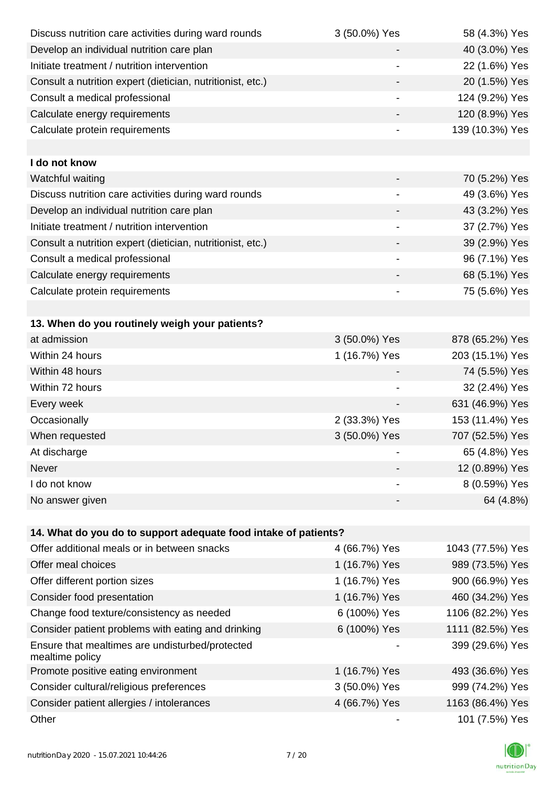| Discuss nutrition care activities during ward rounds               | 3 (50.0%) Yes            | 58 (4.3%) Yes    |
|--------------------------------------------------------------------|--------------------------|------------------|
| Develop an individual nutrition care plan                          |                          | 40 (3.0%) Yes    |
| Initiate treatment / nutrition intervention                        | $\overline{a}$           | 22 (1.6%) Yes    |
| Consult a nutrition expert (dietician, nutritionist, etc.)         |                          | 20 (1.5%) Yes    |
| Consult a medical professional                                     | $\overline{\phantom{a}}$ | 124 (9.2%) Yes   |
| Calculate energy requirements                                      |                          | 120 (8.9%) Yes   |
| Calculate protein requirements                                     |                          | 139 (10.3%) Yes  |
|                                                                    |                          |                  |
| I do not know                                                      |                          |                  |
| Watchful waiting                                                   |                          | 70 (5.2%) Yes    |
| Discuss nutrition care activities during ward rounds               |                          | 49 (3.6%) Yes    |
| Develop an individual nutrition care plan                          |                          | 43 (3.2%) Yes    |
| Initiate treatment / nutrition intervention                        | $\overline{\phantom{a}}$ | 37 (2.7%) Yes    |
| Consult a nutrition expert (dietician, nutritionist, etc.)         |                          | 39 (2.9%) Yes    |
| Consult a medical professional                                     |                          | 96 (7.1%) Yes    |
| Calculate energy requirements                                      |                          | 68 (5.1%) Yes    |
| Calculate protein requirements                                     |                          | 75 (5.6%) Yes    |
|                                                                    |                          |                  |
| 13. When do you routinely weigh your patients?                     |                          |                  |
| at admission                                                       | 3 (50.0%) Yes            | 878 (65.2%) Yes  |
| Within 24 hours                                                    | 1 (16.7%) Yes            | 203 (15.1%) Yes  |
| Within 48 hours                                                    |                          | 74 (5.5%) Yes    |
| Within 72 hours                                                    |                          | 32 (2.4%) Yes    |
| Every week                                                         |                          | 631 (46.9%) Yes  |
| Occasionally                                                       | 2 (33.3%) Yes            | 153 (11.4%) Yes  |
| When requested                                                     | 3 (50.0%) Yes            | 707 (52.5%) Yes  |
| At discharge                                                       |                          | 65 (4.8%) Yes    |
| Never                                                              |                          | 12 (0.89%) Yes   |
| I do not know                                                      | $\overline{\phantom{a}}$ | 8 (0.59%) Yes    |
| No answer given                                                    |                          | 64 (4.8%)        |
|                                                                    |                          |                  |
| 14. What do you do to support adequate food intake of patients?    |                          |                  |
| Offer additional meals or in between snacks                        | 4 (66.7%) Yes            | 1043 (77.5%) Yes |
| Offer meal choices                                                 | 1 (16.7%) Yes            | 989 (73.5%) Yes  |
| Offer different portion sizes                                      | 1 (16.7%) Yes            | 900 (66.9%) Yes  |
| Consider food presentation                                         | 1 (16.7%) Yes            | 460 (34.2%) Yes  |
| Change food texture/consistency as needed                          | 6 (100%) Yes             | 1106 (82.2%) Yes |
| Consider patient problems with eating and drinking                 | 6 (100%) Yes             | 1111 (82.5%) Yes |
| Ensure that mealtimes are undisturbed/protected<br>mealtime policy |                          | 399 (29.6%) Yes  |
| Promote positive eating environment                                | 1 (16.7%) Yes            | 493 (36.6%) Yes  |
| Consider cultural/religious preferences                            | 3 (50.0%) Yes            | 999 (74.2%) Yes  |
| Consider patient allergies / intolerances                          | 4 (66.7%) Yes            | 1163 (86.4%) Yes |
| Other                                                              |                          | 101 (7.5%) Yes   |
|                                                                    |                          |                  |

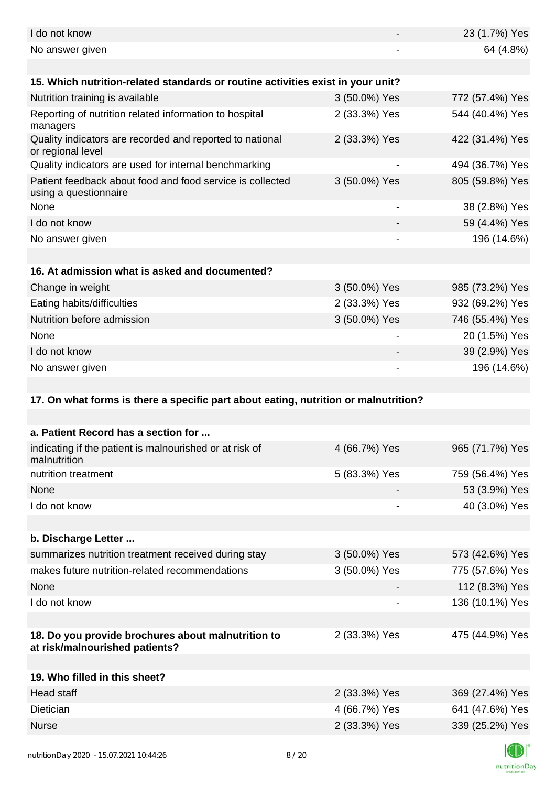| I do not know                                                                        |               | 23 (1.7%) Yes   |
|--------------------------------------------------------------------------------------|---------------|-----------------|
| No answer given                                                                      |               | 64 (4.8%)       |
|                                                                                      |               |                 |
| 15. Which nutrition-related standards or routine activities exist in your unit?      |               |                 |
| Nutrition training is available                                                      | 3 (50.0%) Yes | 772 (57.4%) Yes |
| Reporting of nutrition related information to hospital<br>managers                   | 2 (33.3%) Yes | 544 (40.4%) Yes |
| Quality indicators are recorded and reported to national<br>or regional level        | 2 (33.3%) Yes | 422 (31.4%) Yes |
| Quality indicators are used for internal benchmarking                                | -             | 494 (36.7%) Yes |
| Patient feedback about food and food service is collected<br>using a questionnaire   | 3 (50.0%) Yes | 805 (59.8%) Yes |
| None                                                                                 |               | 38 (2.8%) Yes   |
| I do not know                                                                        |               | 59 (4.4%) Yes   |
| No answer given                                                                      |               | 196 (14.6%)     |
|                                                                                      |               |                 |
| 16. At admission what is asked and documented?                                       |               |                 |
| Change in weight                                                                     | 3 (50.0%) Yes | 985 (73.2%) Yes |
| Eating habits/difficulties                                                           | 2 (33.3%) Yes | 932 (69.2%) Yes |
| Nutrition before admission                                                           | 3 (50.0%) Yes | 746 (55.4%) Yes |
| None                                                                                 |               | 20 (1.5%) Yes   |
| I do not know                                                                        |               | 39 (2.9%) Yes   |
| No answer given                                                                      |               | 196 (14.6%)     |
|                                                                                      |               |                 |
|                                                                                      |               |                 |
| 17. On what forms is there a specific part about eating, nutrition or malnutrition?  |               |                 |
|                                                                                      |               |                 |
| a. Patient Record has a section for                                                  |               |                 |
| indicating if the patient is malnourished or at risk of<br>malnutrition              | 4 (66.7%) Yes | 965 (71.7%) Yes |
| nutrition treatment                                                                  | 5 (83.3%) Yes | 759 (56.4%) Yes |
| None                                                                                 |               | 53 (3.9%) Yes   |
| I do not know                                                                        |               | 40 (3.0%) Yes   |
|                                                                                      |               |                 |
| b. Discharge Letter                                                                  |               |                 |
| summarizes nutrition treatment received during stay                                  | 3 (50.0%) Yes | 573 (42.6%) Yes |
| makes future nutrition-related recommendations                                       | 3 (50.0%) Yes | 775 (57.6%) Yes |
| None                                                                                 |               | 112 (8.3%) Yes  |
| I do not know                                                                        |               | 136 (10.1%) Yes |
|                                                                                      |               |                 |
| 18. Do you provide brochures about malnutrition to<br>at risk/malnourished patients? | 2 (33.3%) Yes | 475 (44.9%) Yes |
|                                                                                      |               |                 |
| 19. Who filled in this sheet?                                                        |               |                 |
| <b>Head staff</b>                                                                    | 2 (33.3%) Yes | 369 (27.4%) Yes |
| Dietician                                                                            | 4 (66.7%) Yes | 641 (47.6%) Yes |
| <b>Nurse</b>                                                                         | 2 (33.3%) Yes | 339 (25.2%) Yes |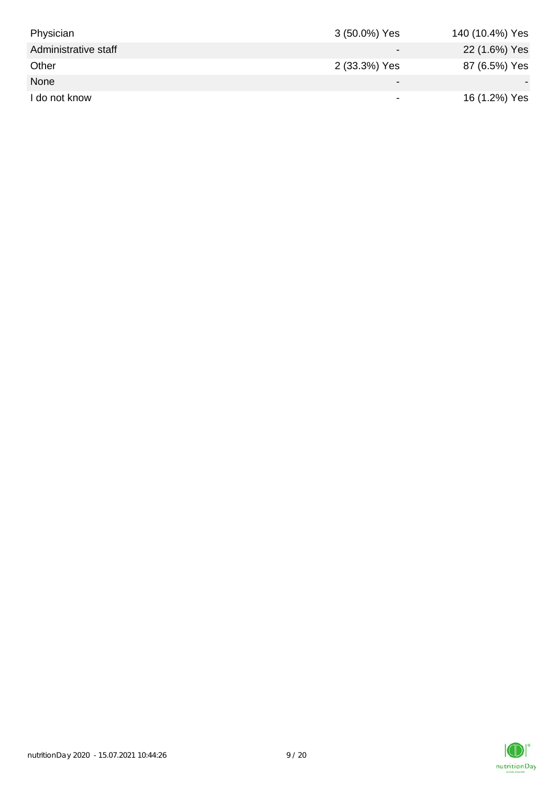| Physician            | 3 (50.0%) Yes            | 140 (10.4%) Yes |
|----------------------|--------------------------|-----------------|
| Administrative staff |                          | 22 (1.6%) Yes   |
| Other                | 2 (33.3%) Yes            | 87 (6.5%) Yes   |
| None                 | ۰                        |                 |
| I do not know        | $\overline{\phantom{0}}$ | 16 (1.2%) Yes   |

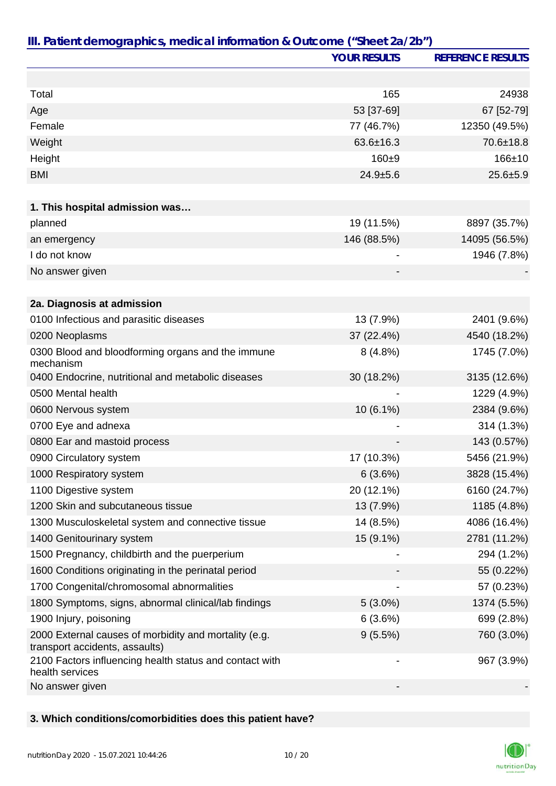|                                                                                         | <b>YOUR RESULTS</b>      | <b>REFERENCE RESULTS</b> |
|-----------------------------------------------------------------------------------------|--------------------------|--------------------------|
|                                                                                         |                          |                          |
| Total                                                                                   | 165                      | 24938                    |
| Age                                                                                     | 53 [37-69]               | 67 [52-79]               |
| Female                                                                                  | 77 (46.7%)               | 12350 (49.5%)            |
| Weight                                                                                  | $63.6 \pm 16.3$          | 70.6±18.8                |
| Height                                                                                  | $160 + 9$                | $166 + 10$               |
| <b>BMI</b>                                                                              | $24.9 + 5.6$             | $25.6 + 5.9$             |
|                                                                                         |                          |                          |
| 1. This hospital admission was                                                          |                          |                          |
| planned                                                                                 | 19 (11.5%)               | 8897 (35.7%)             |
| an emergency                                                                            | 146 (88.5%)              | 14095 (56.5%)            |
| I do not know                                                                           |                          | 1946 (7.8%)              |
| No answer given                                                                         |                          |                          |
|                                                                                         |                          |                          |
| 2a. Diagnosis at admission                                                              |                          |                          |
| 0100 Infectious and parasitic diseases                                                  | 13 (7.9%)                | 2401 (9.6%)              |
| 0200 Neoplasms                                                                          | 37 (22.4%)               | 4540 (18.2%)             |
| 0300 Blood and bloodforming organs and the immune<br>mechanism                          | 8(4.8%)                  | 1745 (7.0%)              |
| 0400 Endocrine, nutritional and metabolic diseases                                      | 30 (18.2%)               | 3135 (12.6%)             |
| 0500 Mental health                                                                      |                          | 1229 (4.9%)              |
| 0600 Nervous system                                                                     | 10 (6.1%)                | 2384 (9.6%)              |
| 0700 Eye and adnexa                                                                     |                          | 314 (1.3%)               |
| 0800 Ear and mastoid process                                                            |                          | 143 (0.57%)              |
| 0900 Circulatory system                                                                 | 17 (10.3%)               | 5456 (21.9%)             |
| 1000 Respiratory system                                                                 | 6(3.6%)                  | 3828 (15.4%)             |
| 1100 Digestive system                                                                   | 20 (12.1%)               | 6160 (24.7%)             |
| 1200 Skin and subcutaneous tissue                                                       | 13 (7.9%)                | 1185 (4.8%)              |
| 1300 Musculoskeletal system and connective tissue                                       | 14 (8.5%)                | 4086 (16.4%)             |
| 1400 Genitourinary system                                                               | 15 (9.1%)                | 2781 (11.2%)             |
| 1500 Pregnancy, childbirth and the puerperium                                           |                          | 294 (1.2%)               |
| 1600 Conditions originating in the perinatal period                                     |                          | 55 (0.22%)               |
| 1700 Congenital/chromosomal abnormalities                                               |                          | 57 (0.23%)               |
| 1800 Symptoms, signs, abnormal clinical/lab findings                                    | $5(3.0\%)$               | 1374 (5.5%)              |
| 1900 Injury, poisoning                                                                  | 6(3.6%)                  | 699 (2.8%)               |
| 2000 External causes of morbidity and mortality (e.g.<br>transport accidents, assaults) | 9(5.5%)                  | 760 (3.0%)               |
| 2100 Factors influencing health status and contact with<br>health services              | $\overline{\phantom{a}}$ | 967 (3.9%)               |
| No answer given                                                                         |                          |                          |

## **3. Which conditions/comorbidities does this patient have?**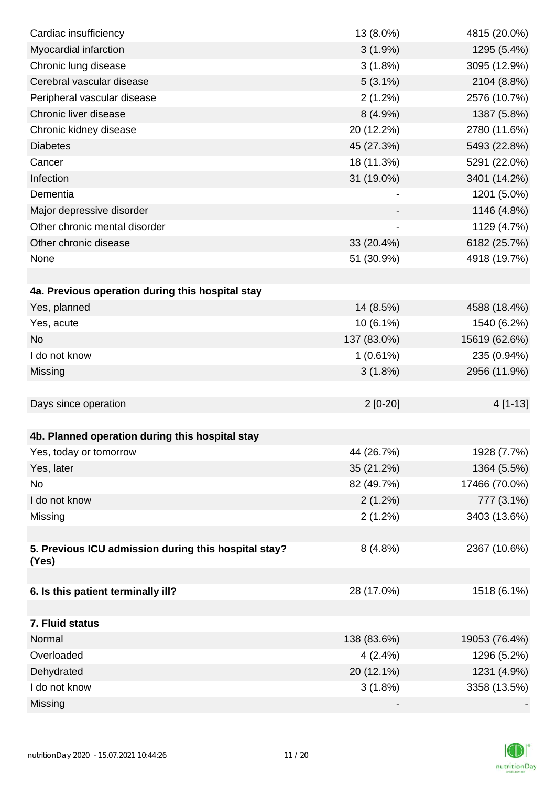| Cardiac insufficiency                                         | 13 (8.0%)   | 4815 (20.0%)  |
|---------------------------------------------------------------|-------------|---------------|
| Myocardial infarction                                         | $3(1.9\%)$  | 1295 (5.4%)   |
| Chronic lung disease                                          | $3(1.8\%)$  | 3095 (12.9%)  |
| Cerebral vascular disease                                     | $5(3.1\%)$  | 2104 (8.8%)   |
| Peripheral vascular disease                                   | 2(1.2%)     | 2576 (10.7%)  |
| Chronic liver disease                                         | 8(4.9%)     | 1387 (5.8%)   |
| Chronic kidney disease                                        | 20 (12.2%)  | 2780 (11.6%)  |
| <b>Diabetes</b>                                               | 45 (27.3%)  | 5493 (22.8%)  |
| Cancer                                                        | 18 (11.3%)  | 5291 (22.0%)  |
| Infection                                                     | 31 (19.0%)  | 3401 (14.2%)  |
| Dementia                                                      |             | 1201 (5.0%)   |
| Major depressive disorder                                     |             | 1146 (4.8%)   |
| Other chronic mental disorder                                 |             | 1129 (4.7%)   |
| Other chronic disease                                         | 33 (20.4%)  | 6182 (25.7%)  |
| None                                                          | 51 (30.9%)  | 4918 (19.7%)  |
|                                                               |             |               |
| 4a. Previous operation during this hospital stay              |             |               |
| Yes, planned                                                  | 14 (8.5%)   | 4588 (18.4%)  |
| Yes, acute                                                    | 10 (6.1%)   | 1540 (6.2%)   |
| <b>No</b>                                                     | 137 (83.0%) | 15619 (62.6%) |
| I do not know                                                 | 1(0.61%)    | 235 (0.94%)   |
| Missing                                                       | 3(1.8%)     | 2956 (11.9%)  |
|                                                               |             |               |
| Days since operation                                          | $2[0-20]$   | 4 [1-13]      |
|                                                               |             |               |
| 4b. Planned operation during this hospital stay               |             |               |
| Yes, today or tomorrow                                        | 44 (26.7%)  | 1928 (7.7%)   |
| Yes, later                                                    | 35 (21.2%)  | 1364 (5.5%)   |
| No                                                            | 82 (49.7%)  | 17466 (70.0%) |
| I do not know                                                 | $2(1.2\%)$  | 777 (3.1%)    |
| Missing                                                       | 2(1.2%)     | 3403 (13.6%)  |
|                                                               |             |               |
| 5. Previous ICU admission during this hospital stay?<br>(Yes) | 8(4.8%)     | 2367 (10.6%)  |
|                                                               |             |               |
| 6. Is this patient terminally ill?                            | 28 (17.0%)  | 1518 (6.1%)   |
|                                                               |             |               |
| 7. Fluid status                                               |             |               |
| Normal                                                        | 138 (83.6%) | 19053 (76.4%) |
| Overloaded                                                    | 4(2.4%)     | 1296 (5.2%)   |
| Dehydrated                                                    | 20 (12.1%)  | 1231 (4.9%)   |
| I do not know                                                 | 3(1.8%)     | 3358 (13.5%)  |
| Missing                                                       |             |               |

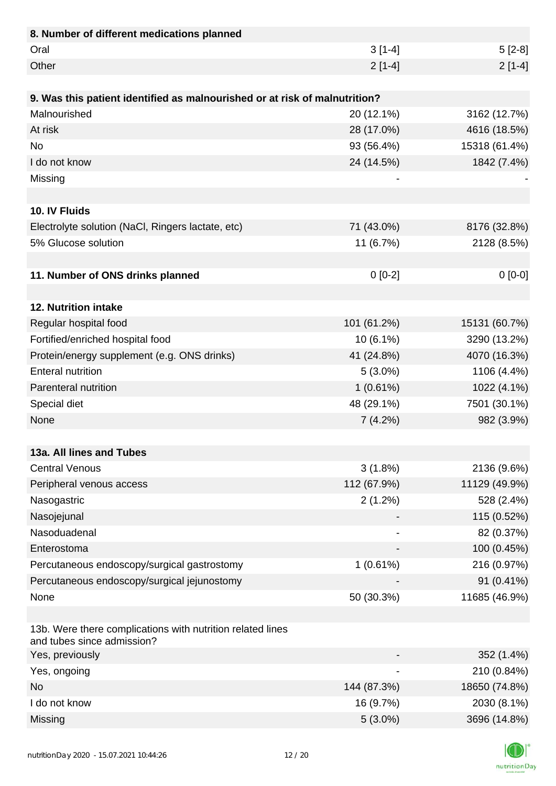| 8. Number of different medications planned                                               |             |               |
|------------------------------------------------------------------------------------------|-------------|---------------|
| Oral                                                                                     | $3[1-4]$    | $5[2-8]$      |
| Other                                                                                    | $2[1-4]$    | $2[1-4]$      |
|                                                                                          |             |               |
| 9. Was this patient identified as malnourished or at risk of malnutrition?               |             |               |
| Malnourished                                                                             | 20 (12.1%)  | 3162 (12.7%)  |
| At risk                                                                                  | 28 (17.0%)  | 4616 (18.5%)  |
| <b>No</b>                                                                                | 93 (56.4%)  | 15318 (61.4%) |
| I do not know                                                                            | 24 (14.5%)  | 1842 (7.4%)   |
| Missing                                                                                  |             |               |
|                                                                                          |             |               |
| 10. IV Fluids                                                                            |             |               |
| Electrolyte solution (NaCl, Ringers lactate, etc)                                        | 71 (43.0%)  | 8176 (32.8%)  |
| 5% Glucose solution                                                                      | 11 (6.7%)   | 2128 (8.5%)   |
|                                                                                          |             |               |
| 11. Number of ONS drinks planned                                                         | $0[0-2]$    | $0[0-0]$      |
|                                                                                          |             |               |
| 12. Nutrition intake                                                                     |             |               |
| Regular hospital food                                                                    | 101 (61.2%) | 15131 (60.7%) |
| Fortified/enriched hospital food                                                         | 10 (6.1%)   | 3290 (13.2%)  |
| Protein/energy supplement (e.g. ONS drinks)                                              | 41 (24.8%)  | 4070 (16.3%)  |
| <b>Enteral nutrition</b>                                                                 | $5(3.0\%)$  | 1106 (4.4%)   |
| Parenteral nutrition                                                                     | $1(0.61\%)$ | 1022 (4.1%)   |
| Special diet                                                                             | 48 (29.1%)  | 7501 (30.1%)  |
| None                                                                                     | 7(4.2%)     | 982 (3.9%)    |
|                                                                                          |             |               |
| 13a. All lines and Tubes                                                                 |             |               |
| <b>Central Venous</b>                                                                    | $3(1.8\%)$  | 2136 (9.6%)   |
| Peripheral venous access                                                                 | 112 (67.9%) | 11129 (49.9%) |
| Nasogastric                                                                              | 2(1.2%)     | 528 (2.4%)    |
| Nasojejunal                                                                              |             | 115 (0.52%)   |
| Nasoduadenal                                                                             |             | 82 (0.37%)    |
| Enterostoma                                                                              |             | 100 (0.45%)   |
| Percutaneous endoscopy/surgical gastrostomy                                              | 1(0.61%)    | 216 (0.97%)   |
| Percutaneous endoscopy/surgical jejunostomy                                              |             | 91 (0.41%)    |
| None                                                                                     | 50 (30.3%)  | 11685 (46.9%) |
|                                                                                          |             |               |
| 13b. Were there complications with nutrition related lines<br>and tubes since admission? |             |               |
| Yes, previously                                                                          |             | 352 (1.4%)    |
| Yes, ongoing                                                                             |             | 210 (0.84%)   |
| <b>No</b>                                                                                | 144 (87.3%) | 18650 (74.8%) |
| I do not know                                                                            | 16 (9.7%)   | 2030 (8.1%)   |
| Missing                                                                                  | $5(3.0\%)$  | 3696 (14.8%)  |

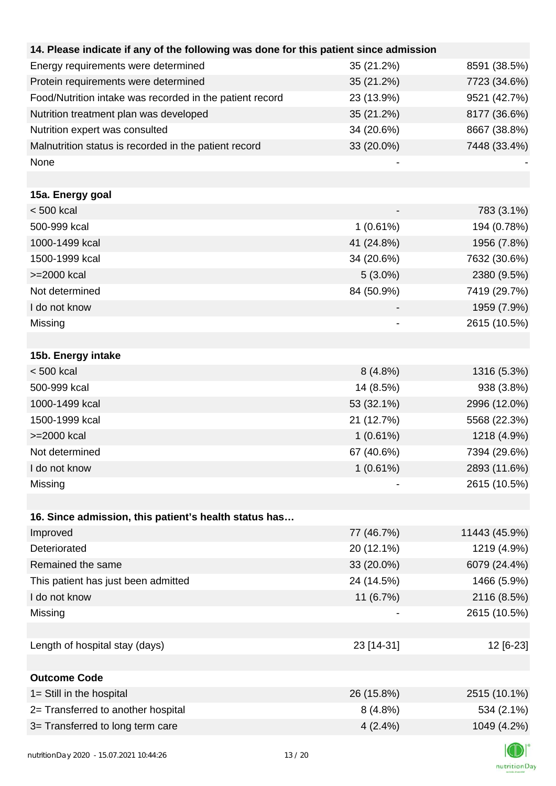| 14. Please indicate if any of the following was done for this patient since admission |             |               |
|---------------------------------------------------------------------------------------|-------------|---------------|
| Energy requirements were determined                                                   | 35 (21.2%)  | 8591 (38.5%)  |
| Protein requirements were determined                                                  | 35 (21.2%)  | 7723 (34.6%)  |
| Food/Nutrition intake was recorded in the patient record                              | 23 (13.9%)  | 9521 (42.7%)  |
| Nutrition treatment plan was developed                                                | 35 (21.2%)  | 8177 (36.6%)  |
| Nutrition expert was consulted                                                        | 34 (20.6%)  | 8667 (38.8%)  |
| Malnutrition status is recorded in the patient record                                 | 33 (20.0%)  | 7448 (33.4%)  |
| None                                                                                  |             |               |
|                                                                                       |             |               |
| 15a. Energy goal                                                                      |             |               |
| $< 500$ kcal                                                                          |             | 783 (3.1%)    |
| 500-999 kcal                                                                          | 1(0.61%)    | 194 (0.78%)   |
| 1000-1499 kcal                                                                        | 41 (24.8%)  | 1956 (7.8%)   |
| 1500-1999 kcal                                                                        | 34 (20.6%)  | 7632 (30.6%)  |
| >=2000 kcal                                                                           | $5(3.0\%)$  | 2380 (9.5%)   |
| Not determined                                                                        | 84 (50.9%)  | 7419 (29.7%)  |
| I do not know                                                                         |             | 1959 (7.9%)   |
| Missing                                                                               |             | 2615 (10.5%)  |
|                                                                                       |             |               |
| 15b. Energy intake                                                                    |             |               |
| $< 500$ kcal                                                                          | 8(4.8%)     | 1316 (5.3%)   |
| 500-999 kcal                                                                          | 14 (8.5%)   | 938 (3.8%)    |
| 1000-1499 kcal                                                                        | 53 (32.1%)  | 2996 (12.0%)  |
| 1500-1999 kcal                                                                        | 21 (12.7%)  | 5568 (22.3%)  |
| >=2000 kcal                                                                           | $1(0.61\%)$ | 1218 (4.9%)   |
| Not determined                                                                        | 67 (40.6%)  | 7394 (29.6%)  |
| I do not know                                                                         | $1(0.61\%)$ | 2893 (11.6%)  |
| Missing                                                                               |             | 2615 (10.5%)  |
|                                                                                       |             |               |
| 16. Since admission, this patient's health status has                                 |             |               |
| Improved                                                                              | 77 (46.7%)  | 11443 (45.9%) |
| Deteriorated                                                                          | 20 (12.1%)  | 1219 (4.9%)   |
| Remained the same                                                                     | 33 (20.0%)  | 6079 (24.4%)  |
| This patient has just been admitted                                                   | 24 (14.5%)  | 1466 (5.9%)   |
| I do not know                                                                         | 11 (6.7%)   | 2116 (8.5%)   |
| Missing                                                                               |             | 2615 (10.5%)  |
|                                                                                       |             |               |
| Length of hospital stay (days)                                                        | 23 [14-31]  | 12 [6-23]     |
|                                                                                       |             |               |
| <b>Outcome Code</b>                                                                   |             |               |
| 1= Still in the hospital                                                              | 26 (15.8%)  | 2515 (10.1%)  |
| 2= Transferred to another hospital                                                    | $8(4.8\%)$  | 534 (2.1%)    |
| 3= Transferred to long term care                                                      | $4(2.4\%)$  | 1049 (4.2%)   |
|                                                                                       |             |               |

K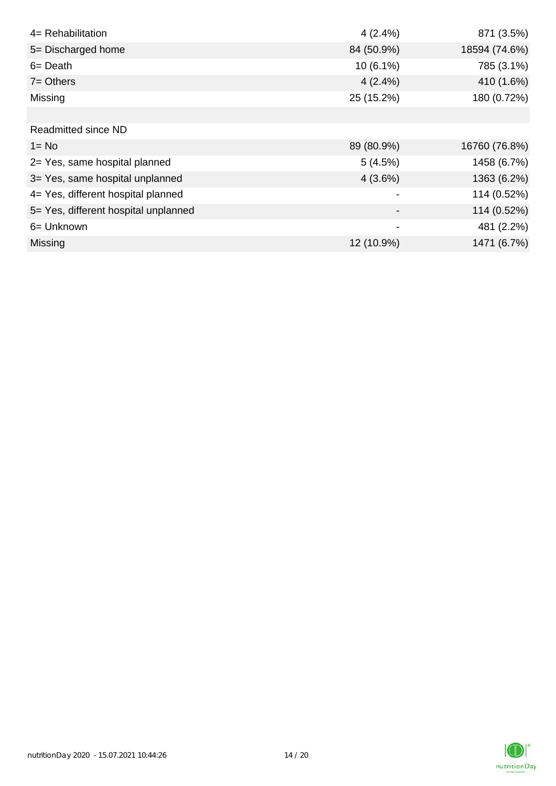| 4= Rehabilitation                    | $4(2.4\%)$  | 871 (3.5%)    |
|--------------------------------------|-------------|---------------|
| 5= Discharged home                   | 84 (50.9%)  | 18594 (74.6%) |
| $6 = Death$                          | $10(6.1\%)$ | 785 (3.1%)    |
| $7 = Others$                         | $4(2.4\%)$  | 410 (1.6%)    |
| Missing                              | 25 (15.2%)  | 180 (0.72%)   |
|                                      |             |               |
| <b>Readmitted since ND</b>           |             |               |
| $1 = No$                             | 89 (80.9%)  | 16760 (76.8%) |
| 2= Yes, same hospital planned        | 5(4.5%)     | 1458 (6.7%)   |
| 3= Yes, same hospital unplanned      | $4(3.6\%)$  | 1363 (6.2%)   |
| 4= Yes, different hospital planned   |             | 114 (0.52%)   |
| 5= Yes, different hospital unplanned |             | 114 (0.52%)   |
| 6= Unknown                           |             | 481 (2.2%)    |
| Missing                              | 12 (10.9%)  | 1471 (6.7%)   |

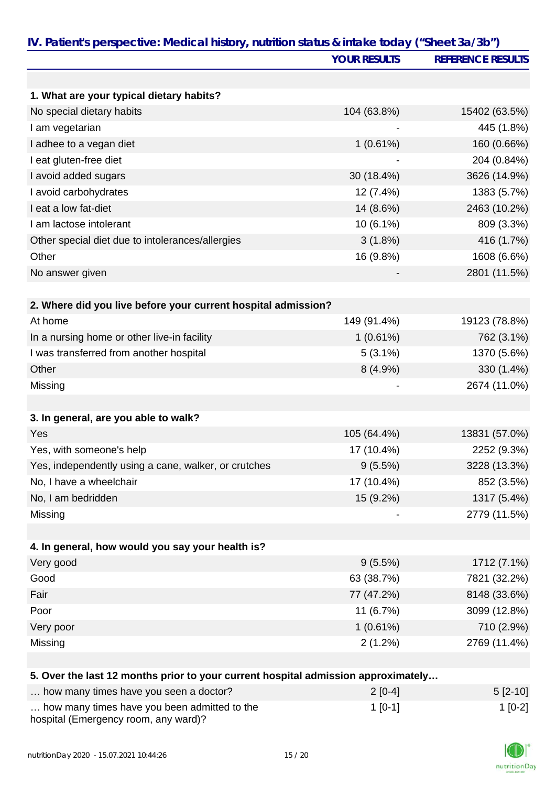|                                                                                   | <b>YOUR RESULTS</b> | <b>REFERENCE RESULTS</b> |
|-----------------------------------------------------------------------------------|---------------------|--------------------------|
|                                                                                   |                     |                          |
| 1. What are your typical dietary habits?                                          |                     |                          |
| No special dietary habits                                                         | 104 (63.8%)         | 15402 (63.5%)            |
| I am vegetarian                                                                   |                     | 445 (1.8%)               |
| I adhee to a vegan diet                                                           | $1(0.61\%)$         | 160 (0.66%)              |
| I eat gluten-free diet                                                            |                     | 204 (0.84%)              |
| I avoid added sugars                                                              | 30 (18.4%)          | 3626 (14.9%)             |
| I avoid carbohydrates                                                             | 12 (7.4%)           | 1383 (5.7%)              |
| I eat a low fat-diet                                                              | 14 (8.6%)           | 2463 (10.2%)             |
| I am lactose intolerant                                                           | 10 (6.1%)           | 809 (3.3%)               |
| Other special diet due to intolerances/allergies                                  | $3(1.8\%)$          | 416 (1.7%)               |
| Other                                                                             | 16 (9.8%)           | 1608 (6.6%)              |
| No answer given                                                                   |                     | 2801 (11.5%)             |
| 2. Where did you live before your current hospital admission?                     |                     |                          |
| At home                                                                           | 149 (91.4%)         | 19123 (78.8%)            |
| In a nursing home or other live-in facility                                       | 1(0.61%)            | 762 (3.1%)               |
| I was transferred from another hospital                                           | $5(3.1\%)$          | 1370 (5.6%)              |
| Other                                                                             | 8(4.9%)             | 330 (1.4%)               |
| Missing                                                                           |                     | 2674 (11.0%)             |
| 3. In general, are you able to walk?                                              |                     |                          |
| Yes                                                                               | 105 (64.4%)         | 13831 (57.0%)            |
| Yes, with someone's help                                                          | 17 (10.4%)          | 2252 (9.3%)              |
| Yes, independently using a cane, walker, or crutches                              | 9(5.5%)             | 3228 (13.3%)             |
| No, I have a wheelchair                                                           | 17 (10.4%)          | 852 (3.5%)               |
| No, I am bedridden                                                                | 15 (9.2%)           | 1317 (5.4%)              |
| Missing                                                                           |                     | 2779 (11.5%)             |
|                                                                                   |                     |                          |
| 4. In general, how would you say your health is?                                  |                     |                          |
| Very good                                                                         | 9(5.5%)             | 1712 (7.1%)              |
| Good                                                                              | 63 (38.7%)          | 7821 (32.2%)             |
| Fair                                                                              | 77 (47.2%)          | 8148 (33.6%)             |
| Poor                                                                              | 11 (6.7%)           | 3099 (12.8%)             |
| Very poor                                                                         | 1(0.61%)            | 710 (2.9%)               |
| Missing                                                                           | 2(1.2%)             | 2769 (11.4%)             |
| 5. Over the last 12 months prior to your current hospital admission approximately |                     |                          |
| $h_0w_0$ many times house you seen a dectar?                                      | 2I0A1               | $F \n 10.401$            |

| how many times have you seen a doctor?                                               | $2[0-4]$  | $5$ [2-10] |
|--------------------------------------------------------------------------------------|-----------|------------|
| how many times have you been admitted to the<br>hospital (Emergency room, any ward)? | $1$ [0-1] | $1$ [0-2]  |

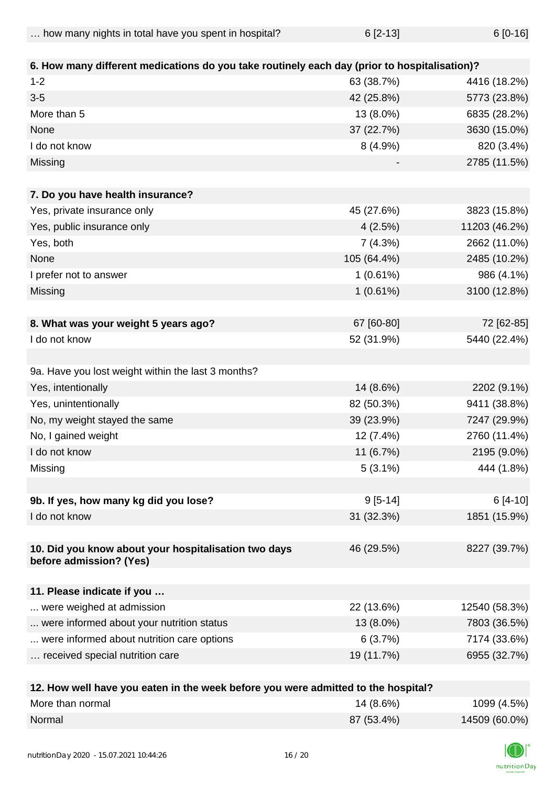... how many nights in total have you spent in hospital? 6 [2-13] 6 [2-13]

| 6. How many different medications do you take routinely each day (prior to hospitalisation)? |             |               |
|----------------------------------------------------------------------------------------------|-------------|---------------|
| $1 - 2$                                                                                      | 63 (38.7%)  | 4416 (18.2%)  |
| $3-5$                                                                                        | 42 (25.8%)  | 5773 (23.8%)  |
| More than 5                                                                                  | 13 (8.0%)   | 6835 (28.2%)  |
| None                                                                                         | 37 (22.7%)  | 3630 (15.0%)  |
| I do not know                                                                                | $8(4.9\%)$  | 820 (3.4%)    |
| Missing                                                                                      |             | 2785 (11.5%)  |
|                                                                                              |             |               |
| 7. Do you have health insurance?                                                             |             |               |
| Yes, private insurance only                                                                  | 45 (27.6%)  | 3823 (15.8%)  |
| Yes, public insurance only                                                                   | 4(2.5%)     | 11203 (46.2%) |
| Yes, both                                                                                    | 7(4.3%)     | 2662 (11.0%)  |
| None                                                                                         | 105 (64.4%) | 2485 (10.2%)  |
| I prefer not to answer                                                                       | 1(0.61%)    | 986 (4.1%)    |
| Missing                                                                                      | 1(0.61%)    | 3100 (12.8%)  |
|                                                                                              |             |               |
| 8. What was your weight 5 years ago?                                                         | 67 [60-80]  | 72 [62-85]    |
| I do not know                                                                                | 52 (31.9%)  | 5440 (22.4%)  |
|                                                                                              |             |               |
| 9a. Have you lost weight within the last 3 months?                                           |             |               |
| Yes, intentionally                                                                           | 14 (8.6%)   | 2202 (9.1%)   |
| Yes, unintentionally                                                                         | 82 (50.3%)  | 9411 (38.8%)  |
| No, my weight stayed the same                                                                | 39 (23.9%)  | 7247 (29.9%)  |
| No, I gained weight                                                                          | 12 (7.4%)   | 2760 (11.4%)  |
| I do not know                                                                                | 11 (6.7%)   | 2195 (9.0%)   |
| Missing                                                                                      | $5(3.1\%)$  | 444 (1.8%)    |
|                                                                                              |             |               |
| 9b. If yes, how many kg did you lose?                                                        | $9[5-14]$   | $6[4-10]$     |
| I do not know                                                                                | 31 (32.3%)  | 1851 (15.9%)  |
|                                                                                              |             |               |
| 10. Did you know about your hospitalisation two days                                         | 46 (29.5%)  | 8227 (39.7%)  |
| before admission? (Yes)                                                                      |             |               |
|                                                                                              |             |               |
| 11. Please indicate if you                                                                   |             |               |
| were weighed at admission                                                                    | 22 (13.6%)  | 12540 (58.3%) |
| were informed about your nutrition status                                                    | 13 (8.0%)   | 7803 (36.5%)  |
| were informed about nutrition care options                                                   | 6(3.7%)     | 7174 (33.6%)  |
| received special nutrition care                                                              | 19 (11.7%)  | 6955 (32.7%)  |
| 12. How well have you eaten in the week before you were admitted to the hospital?            |             |               |

| More than normal | 14 (8.6%)  | 1099 (4.5%)   |
|------------------|------------|---------------|
| Normal           | 87 (53.4%) | 14509 (60.0%) |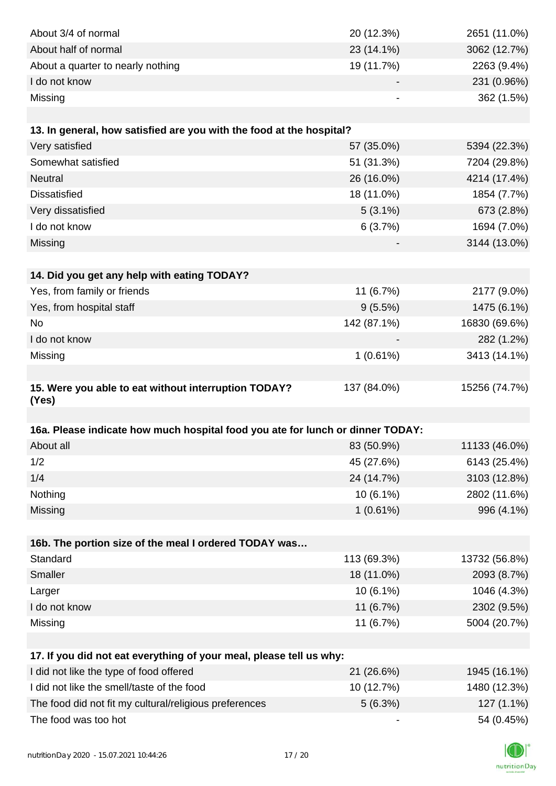| About 3/4 of normal                                                            | 20 (12.3%)  | 2651 (11.0%)  |
|--------------------------------------------------------------------------------|-------------|---------------|
| About half of normal                                                           | 23 (14.1%)  | 3062 (12.7%)  |
| About a quarter to nearly nothing                                              | 19 (11.7%)  | 2263 (9.4%)   |
| I do not know                                                                  |             | 231 (0.96%)   |
| Missing                                                                        |             | 362 (1.5%)    |
|                                                                                |             |               |
| 13. In general, how satisfied are you with the food at the hospital?           |             |               |
| Very satisfied                                                                 | 57 (35.0%)  | 5394 (22.3%)  |
| Somewhat satisfied                                                             | 51 (31.3%)  | 7204 (29.8%)  |
| <b>Neutral</b>                                                                 | 26 (16.0%)  | 4214 (17.4%)  |
| <b>Dissatisfied</b>                                                            | 18 (11.0%)  | 1854 (7.7%)   |
| Very dissatisfied                                                              | $5(3.1\%)$  | 673 (2.8%)    |
| I do not know                                                                  | 6(3.7%)     | 1694 (7.0%)   |
| Missing                                                                        |             | 3144 (13.0%)  |
|                                                                                |             |               |
| 14. Did you get any help with eating TODAY?                                    |             |               |
| Yes, from family or friends                                                    | 11 (6.7%)   | 2177 (9.0%)   |
| Yes, from hospital staff                                                       | 9(5.5%)     | 1475 (6.1%)   |
| <b>No</b>                                                                      | 142 (87.1%) | 16830 (69.6%) |
| I do not know                                                                  |             | 282 (1.2%)    |
| Missing                                                                        | 1(0.61%)    | 3413 (14.1%)  |
|                                                                                |             |               |
| 15. Were you able to eat without interruption TODAY?                           | 137 (84.0%) | 15256 (74.7%) |
| (Yes)                                                                          |             |               |
|                                                                                |             |               |
| 16a. Please indicate how much hospital food you ate for lunch or dinner TODAY: |             |               |
| About all                                                                      | 83 (50.9%)  | 11133 (46.0%) |
| 1/2                                                                            | 45 (27.6%)  | 6143 (25.4%)  |
| 1/4                                                                            | 24 (14.7%)  | 3103 (12.8%)  |
| Nothing                                                                        | 10 (6.1%)   | 2802 (11.6%)  |
| Missing                                                                        | 1(0.61%)    | 996 (4.1%)    |
|                                                                                |             |               |
| 16b. The portion size of the meal I ordered TODAY was                          |             |               |
| Standard                                                                       | 113 (69.3%) | 13732 (56.8%) |
| Smaller                                                                        | 18 (11.0%)  | 2093 (8.7%)   |
| Larger                                                                         | $10(6.1\%)$ | 1046 (4.3%)   |
| I do not know                                                                  | 11 (6.7%)   | 2302 (9.5%)   |
| Missing                                                                        | 11 (6.7%)   | 5004 (20.7%)  |
|                                                                                |             |               |
| 17. If you did not eat everything of your meal, please tell us why:            |             |               |
| I did not like the type of food offered                                        | 21 (26.6%)  | 1945 (16.1%)  |
| I did not like the smell/taste of the food                                     | 10 (12.7%)  | 1480 (12.3%)  |
| The food did not fit my cultural/religious preferences                         | 5(6.3%)     | 127 (1.1%)    |
| The food was too hot                                                           |             | 54 (0.45%)    |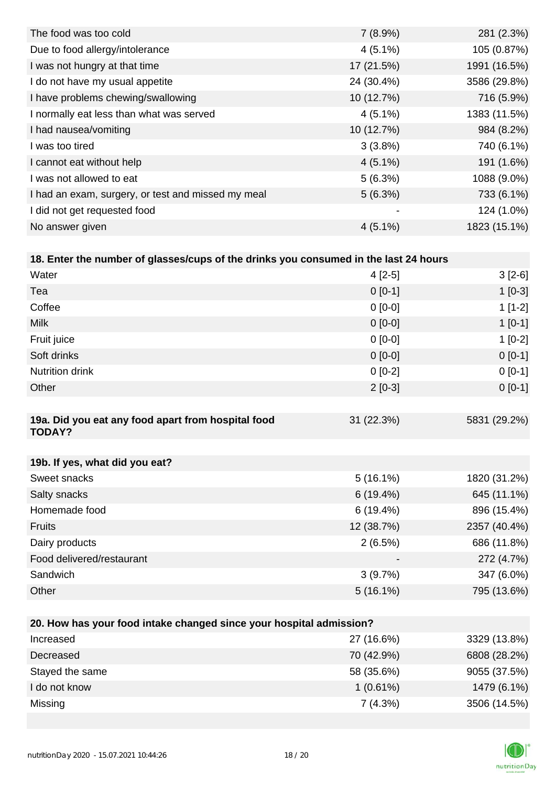| The food was too cold                              | 7(8.9%)        | 281 (2.3%)   |
|----------------------------------------------------|----------------|--------------|
| Due to food allergy/intolerance                    | $4(5.1\%)$     | 105 (0.87%)  |
| I was not hungry at that time                      | 17 (21.5%)     | 1991 (16.5%) |
| I do not have my usual appetite                    | 24 (30.4%)     | 3586 (29.8%) |
| I have problems chewing/swallowing                 | 10 (12.7%)     | 716 (5.9%)   |
| I normally eat less than what was served           | $4(5.1\%)$     | 1383 (11.5%) |
| I had nausea/vomiting                              | 10 (12.7%)     | 984 (8.2%)   |
| I was too tired                                    | $3(3.8\%)$     | 740 (6.1%)   |
| I cannot eat without help                          | $4(5.1\%)$     | 191 (1.6%)   |
| I was not allowed to eat                           | 5(6.3%)        | 1088 (9.0%)  |
| I had an exam, surgery, or test and missed my meal | 5(6.3%)        | 733 (6.1%)   |
| I did not get requested food                       | $\blacksquare$ | 124 (1.0%)   |
| No answer given                                    | $4(5.1\%)$     | 1823 (15.1%) |

| 18. Enter the number of glasses/cups of the drinks you consumed in the last 24 hours |           |                                                                                                                                                                                                                                                                                                                                                                                      |
|--------------------------------------------------------------------------------------|-----------|--------------------------------------------------------------------------------------------------------------------------------------------------------------------------------------------------------------------------------------------------------------------------------------------------------------------------------------------------------------------------------------|
| Water                                                                                | 4 [2-5]   | $3[2-6]$                                                                                                                                                                                                                                                                                                                                                                             |
| Tea                                                                                  | $0$ [0-1] | $1$ [0-3]                                                                                                                                                                                                                                                                                                                                                                            |
| Coffee                                                                               | $0$ [0-0] | $1$ [1-2]                                                                                                                                                                                                                                                                                                                                                                            |
| .                                                                                    | $  -$     | $\overline{1}$ $\overline{1}$ $\overline{2}$ $\overline{1}$ $\overline{1}$ $\overline{1}$ $\overline{1}$ $\overline{1}$ $\overline{1}$ $\overline{1}$ $\overline{1}$ $\overline{1}$ $\overline{1}$ $\overline{1}$ $\overline{1}$ $\overline{1}$ $\overline{1}$ $\overline{1}$ $\overline{1}$ $\overline{1}$ $\overline{1}$ $\overline{1}$ $\overline{1}$ $\overline{1}$ $\overline{$ |

| <b>Milk</b>                                                         | $0 [0-0]$   | $1[0-1]$     |
|---------------------------------------------------------------------|-------------|--------------|
| Fruit juice                                                         | $0 [0-0]$   | $1[0-2]$     |
| Soft drinks                                                         | $0 [0-0]$   | $0[0-1]$     |
| <b>Nutrition drink</b>                                              | $0[0-2]$    | $0[0-1]$     |
| Other                                                               | $2[0-3]$    | $0[0-1]$     |
|                                                                     |             |              |
| 19a. Did you eat any food apart from hospital food<br><b>TODAY?</b> | 31 (22.3%)  | 5831 (29.2%) |
|                                                                     |             |              |
| 19b. If yes, what did you eat?                                      |             |              |
| Sweet snacks                                                        | $5(16.1\%)$ | 1820 (31.2%) |
| Salty snacks                                                        | 6(19.4%)    | 645 (11.1%)  |
| Homemade food                                                       | 6(19.4%)    | 896 (15.4%)  |
| <b>Fruits</b>                                                       | 12 (38.7%)  | 2357 (40.4%) |
| Dairy products                                                      | 2(6.5%)     | 686 (11.8%)  |
| Food delivered/restaurant                                           |             | 272 (4.7%)   |
| Sandwich                                                            | 3(9.7%)     | 347 (6.0%)   |
| Other                                                               | $5(16.1\%)$ | 795 (13.6%)  |
|                                                                     |             |              |

| 20. How has your food intake changed since your hospital admission? |             |              |  |  |
|---------------------------------------------------------------------|-------------|--------------|--|--|
| Increased                                                           | 27 (16.6%)  | 3329 (13.8%) |  |  |
| Decreased                                                           | 70 (42.9%)  | 6808 (28.2%) |  |  |
| Stayed the same                                                     | 58 (35.6%)  | 9055 (37.5%) |  |  |
| I do not know                                                       | $1(0.61\%)$ | 1479 (6.1%)  |  |  |
| Missing                                                             | 7(4.3%)     | 3506 (14.5%) |  |  |

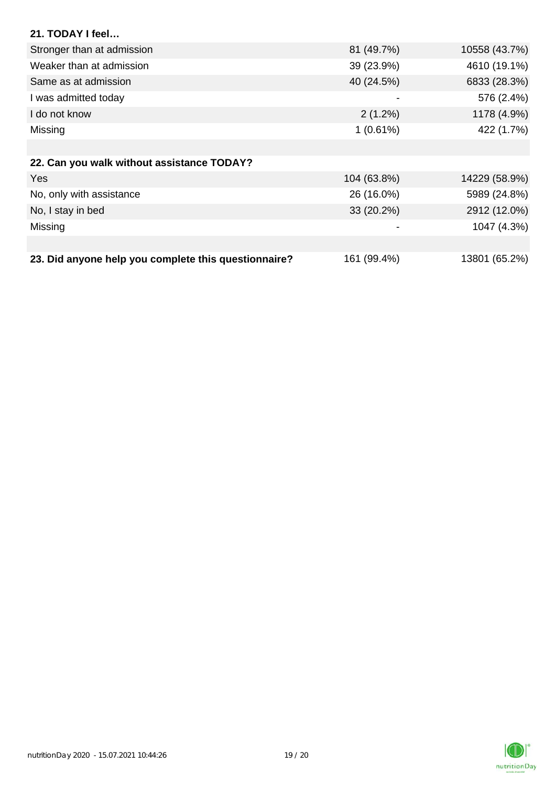| 21. TODAY I feel                                     |             |               |
|------------------------------------------------------|-------------|---------------|
| Stronger than at admission                           | 81 (49.7%)  | 10558 (43.7%) |
| Weaker than at admission                             | 39 (23.9%)  | 4610 (19.1%)  |
| Same as at admission                                 | 40 (24.5%)  | 6833 (28.3%)  |
| I was admitted today                                 | -           | 576 (2.4%)    |
| I do not know                                        | $2(1.2\%)$  | 1178 (4.9%)   |
| Missing                                              | 1(0.61%)    | 422 (1.7%)    |
|                                                      |             |               |
| 22. Can you walk without assistance TODAY?           |             |               |
| <b>Yes</b>                                           | 104 (63.8%) | 14229 (58.9%) |
| No, only with assistance                             | 26 (16.0%)  | 5989 (24.8%)  |
| No, I stay in bed                                    | 33 (20.2%)  | 2912 (12.0%)  |
| Missing                                              | -           | 1047 (4.3%)   |
|                                                      |             |               |
| 23. Did anyone help you complete this questionnaire? | 161 (99.4%) | 13801 (65.2%) |